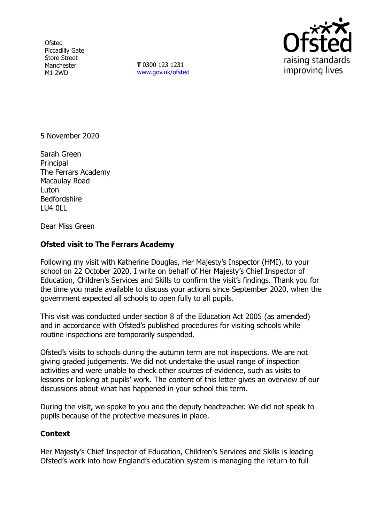**Ofsted** Piccadilly Gate Store Street Manchester M1 2WD

**T** 0300 123 1231 [www.gov.uk/ofsted](http://www.gov.uk/ofsted)



5 November 2020

Sarah Green **Principal** The Ferrars Academy Macaulay Road Luton Bedfordshire LU4 0LL

Dear Miss Green

## **Ofsted visit to The Ferrars Academy**

Following my visit with Katherine Douglas, Her Majesty's Inspector (HMI), to your school on 22 October 2020, I write on behalf of Her Majesty's Chief Inspector of Education, Children's Services and Skills to confirm the visit's findings. Thank you for the time you made available to discuss your actions since September 2020, when the government expected all schools to open fully to all pupils.

This visit was conducted under section 8 of the Education Act 2005 (as amended) and in accordance with Ofsted's published procedures for visiting schools while routine inspections are temporarily suspended.

Ofsted's visits to schools during the autumn term are not inspections. We are not giving graded judgements. We did not undertake the usual range of inspection activities and were unable to check other sources of evidence, such as visits to lessons or looking at pupils' work. The content of this letter gives an overview of our discussions about what has happened in your school this term.

During the visit, we spoke to you and the deputy headteacher. We did not speak to pupils because of the protective measures in place.

## **Context**

Her Majesty's Chief Inspector of Education, Children's Services and Skills is leading Ofsted's work into how England's education system is managing the return to full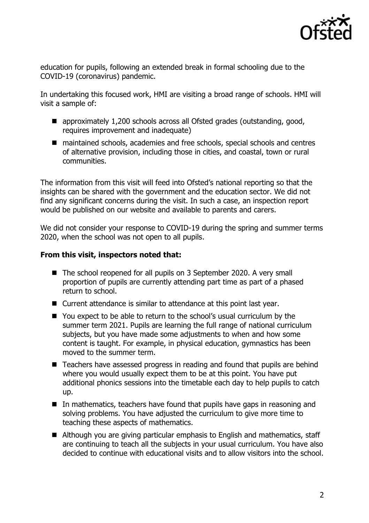

education for pupils, following an extended break in formal schooling due to the COVID-19 (coronavirus) pandemic.

In undertaking this focused work, HMI are visiting a broad range of schools. HMI will visit a sample of:

- approximately 1,200 schools across all Ofsted grades (outstanding, good, requires improvement and inadequate)
- maintained schools, academies and free schools, special schools and centres of alternative provision, including those in cities, and coastal, town or rural communities.

The information from this visit will feed into Ofsted's national reporting so that the insights can be shared with the government and the education sector. We did not find any significant concerns during the visit. In such a case, an inspection report would be published on our website and available to parents and carers.

We did not consider your response to COVID-19 during the spring and summer terms 2020, when the school was not open to all pupils.

## **From this visit, inspectors noted that:**

- The school reopened for all pupils on 3 September 2020. A very small proportion of pupils are currently attending part time as part of a phased return to school.
- Current attendance is similar to attendance at this point last year.
- You expect to be able to return to the school's usual curriculum by the summer term 2021. Pupils are learning the full range of national curriculum subjects, but you have made some adjustments to when and how some content is taught. For example, in physical education, gymnastics has been moved to the summer term.
- Teachers have assessed progress in reading and found that pupils are behind where you would usually expect them to be at this point. You have put additional phonics sessions into the timetable each day to help pupils to catch up.
- In mathematics, teachers have found that pupils have gaps in reasoning and solving problems. You have adjusted the curriculum to give more time to teaching these aspects of mathematics.
- Although you are giving particular emphasis to English and mathematics, staff are continuing to teach all the subjects in your usual curriculum. You have also decided to continue with educational visits and to allow visitors into the school.